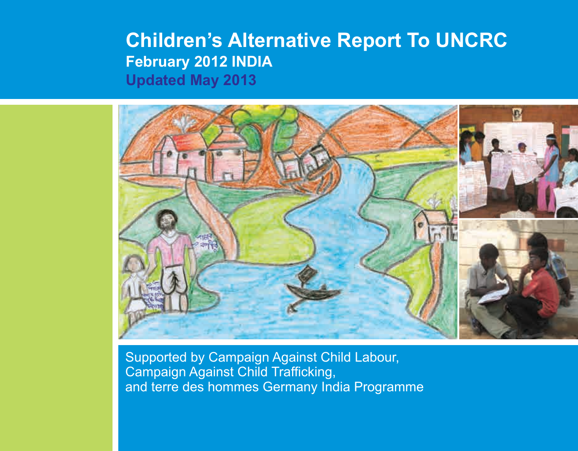# **Children's Alternative Report To UNCRC February 2012 INDIA Updated May 2013**



Supported by Campaign Against Child Labour, Campaign Against Child Trafficking, and terre des hommes Germany India Programme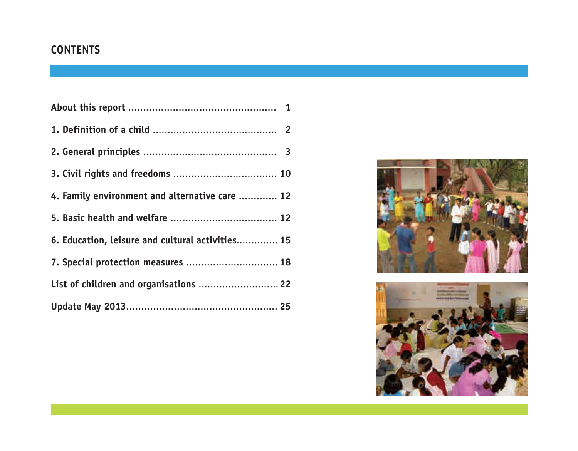## **CONTENTS**

| 4. Family environment and alternative care  12   |  |
|--------------------------------------------------|--|
|                                                  |  |
| 6. Education, leisure and cultural activities 15 |  |
| 7. Special protection measures  18               |  |
| List of children and organisations  22           |  |
|                                                  |  |



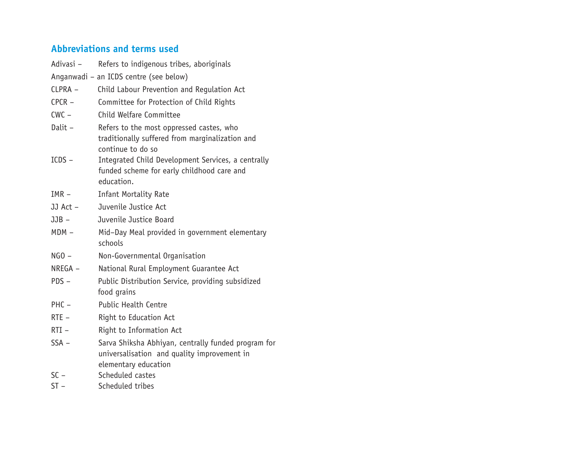## **Abbreviations and terms used**

| Adivasi-                               | Refers to indigenous tribes, aboriginals                                                                                   |  |  |  |  |
|----------------------------------------|----------------------------------------------------------------------------------------------------------------------------|--|--|--|--|
| Anganwadi - an ICDS centre (see below) |                                                                                                                            |  |  |  |  |
| $CLPRA -$                              | Child Labour Prevention and Regulation Act                                                                                 |  |  |  |  |
| $CPCR -$                               | Committee for Protection of Child Rights                                                                                   |  |  |  |  |
| $CWC -$                                | Child Welfare Committee                                                                                                    |  |  |  |  |
| Dalit -                                | Refers to the most oppressed castes, who<br>traditionally suffered from marginalization and<br>continue to do so           |  |  |  |  |
| $ICDS -$                               | Integrated Child Development Services, a centrally<br>funded scheme for early childhood care and<br>education.             |  |  |  |  |
| $IMR -$                                | <b>Infant Mortality Rate</b>                                                                                               |  |  |  |  |
| JJ Act -                               | Juvenile Justice Act                                                                                                       |  |  |  |  |
| $JJB -$                                | Juvenile Justice Board                                                                                                     |  |  |  |  |
| $MDM -$                                | Mid-Day Meal provided in government elementary<br>schools                                                                  |  |  |  |  |
| $NGO -$                                | Non-Governmental Organisation                                                                                              |  |  |  |  |
| $NREGA -$                              | National Rural Employment Guarantee Act                                                                                    |  |  |  |  |
| $PDS -$                                | Public Distribution Service, providing subsidized<br>food grains                                                           |  |  |  |  |
| $PHC -$                                | <b>Public Health Centre</b>                                                                                                |  |  |  |  |
| $RTE -$                                | Right to Education Act                                                                                                     |  |  |  |  |
| $RTI -$                                | Right to Information Act                                                                                                   |  |  |  |  |
| $SSA -$                                | Sarva Shiksha Abhiyan, centrally funded program for<br>universalisation and quality improvement in<br>elementary education |  |  |  |  |
| $SC -$                                 | Scheduled castes                                                                                                           |  |  |  |  |
| $ST -$                                 | Scheduled tribes                                                                                                           |  |  |  |  |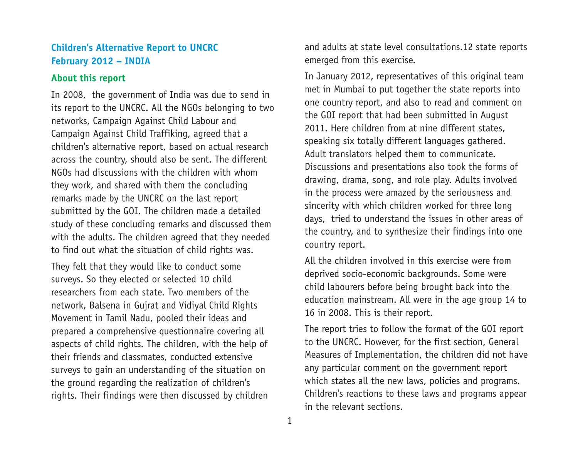### **Children's Alternative Report to UNCRC February 2012 – INDIA**

#### **About this report**

In 2008, the government of India was due to send in its report to the UNCRC. All the NGOs belonging to two networks, Campaign Against Child Labour and Campaign Against Child Traffiking, agreed that a children's alternative report, based on actual research across the country, should also be sent. The different NGOs had discussions with the children with whom they work, and shared with them the concluding remarks made by the UNCRC on the last report submitted by the GOI. The children made a detailed study of these concluding remarks and discussed them with the adults. The children agreed that they needed to find out what the situation of child rights was.

They felt that they would like to conduct some surveys. So they elected or selected 10 child researchers from each state. Two members of the network, Balsena in Gujrat and Vidiyal Child Rights Movement in Tamil Nadu, pooled their ideas and prepared a comprehensive questionnaire covering all aspects of child rights. The children, with the help of their friends and classmates, conducted extensive surveys to gain an understanding of the situation on the ground regarding the realization of children's rights. Their findings were then discussed by children and adults at state level consultations.12 state reports emerged from this exercise.

In January 2012, representatives of this original team met in Mumbai to put together the state reports into one country report, and also to read and comment on the GOI report that had been submitted in August 2011. Here children from at nine different states, speaking six totally different languages gathered. Adult translators helped them to communicate. Discussions and presentations also took the forms of drawing, drama, song, and role play. Adults involved in the process were amazed by the seriousness and sincerity with which children worked for three long days, tried to understand the issues in other areas of the country, and to synthesize their findings into one country report.

All the children involved in this exercise were from deprived socio-economic backgrounds. Some were child labourers before being brought back into the education mainstream. All were in the age group 14 to 16 in 2008. This is their report.

The report tries to follow the format of the GOI report to the UNCRC. However, for the first section, General Measures of Implementation, the children did not have any particular comment on the government report which states all the new laws, policies and programs. Children's reactions to these laws and programs appear in the relevant sections.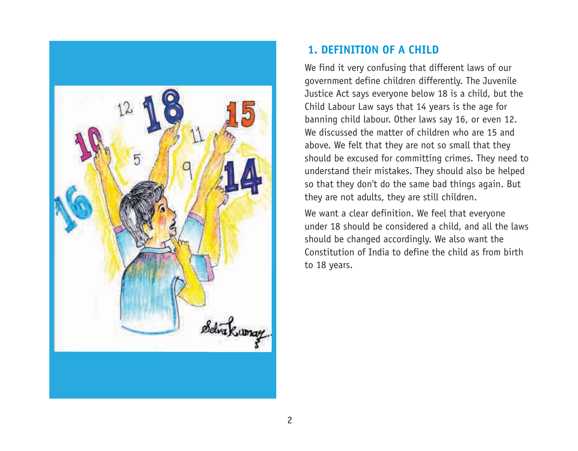

## **1. DEFINITION OF A CHILD**

We find it very confusing that different laws of our government define children differently. The Juvenile Justice Act says everyone below 18 is a child, but the Child Labour Law says that 14 years is the age for banning child labour. Other laws say 16, or even 12. We discussed the matter of children who are 15 and above. We felt that they are not so small that they should be excused for committing crimes. They need to understand their mistakes. They should also be helped so that they don't do the same bad things again. But they are not adults, they are still children.

We want a clear definition. We feel that everyone under 18 should be considered a child, and all the laws should be changed accordingly. We also want the Constitution of India to define the child as from birth to 18 years.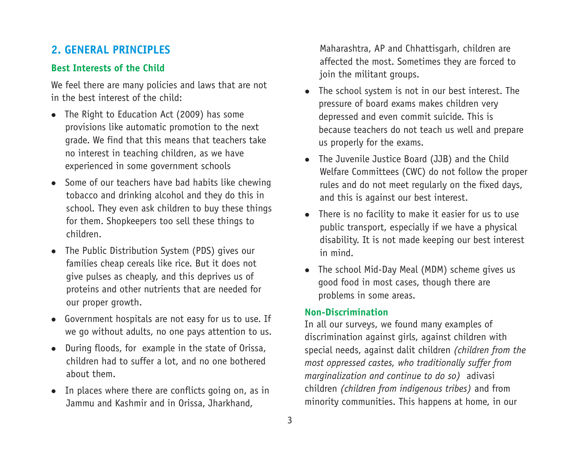## **2. GENERAL PRINCIPLES**

## **Best Interests of the Child**

We feel there are many policies and laws that are not in the best interest of the child:

- The Right to Education Act (2009) has some provisions like automatic promotion to the next grade. We find that this means that teachers take no interest in teaching children, as we have experienced in some government schools
- $\bullet$  Some of our teachers have bad habits like chewing tobacco and drinking alcohol and they do this in school. They even ask children to buy these things for them. Shopkeepers too sell these things to children.
- The Public Distribution System (PDS) gives our families cheap cereals like rice. But it does not give pulses as cheaply, and this deprives us of proteins and other nutrients that are needed for our proper growth.
- Government hospitals are not easy for us to use. If we go without adults, no one pays attention to us.
- During floods, for example in the state of Orissa, children had to suffer a lot, and no one bothered about them.
- $\bullet$  In places where there are conflicts going on, as in Jammu and Kashmir and in Orissa, Jharkhand,

Maharashtra, AP and Chhattisgarh, children are affected the most. Sometimes they are forced to join the militant groups.

- The school system is not in our best interest. The pressure of board exams makes children very depressed and even commit suicide. This is because teachers do not teach us well and prepare us properly for the exams.
- The Juvenile Justice Board (JJB) and the Child Welfare Committees (CWC) do not follow the proper rules and do not meet regularly on the fixed days, and this is against our best interest.
- $\bullet$  There is no facility to make it easier for us to use public transport, especially if we have a physical disability. It is not made keeping our best interest in mind.
- The school Mid-Day Meal (MDM) scheme gives us good food in most cases, though there are problems in some areas.

### **Non-Discrimination**

In all our surveys, we found many examples of discrimination against girls, against children with special needs, against dalit children *(children from the most oppressed castes, who traditionally suffer from marginalization and continue to do so)* adivasi children *(children from indigenous tribes)* and from minority communities. This happens at home, in our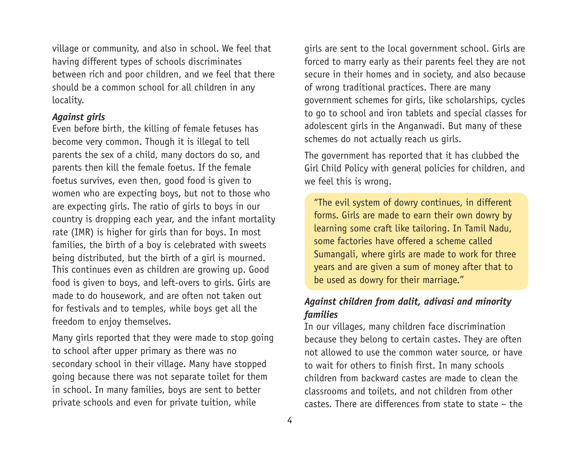village or community, and also in school. We feel that having different types of schools discriminates between rich and poor children, and we feel that there should be a common school for all children in any locality.

#### *Against girls*

Even before birth, the killing of female fetuses has become very common. Though it is illegal to tell parents the sex of a child, many doctors do so, and parents then kill the female foetus. If the female foetus survives, even then, good food is given to women who are expecting boys, but not to those who are expecting girls. The ratio of girls to boys in our country is dropping each year, and the infant mortality rate (IMR) is higher for girls than for boys. In most families, the birth of a boy is celebrated with sweets being distributed, but the birth of a girl is mourned. This continues even as children are growing up. Good food is given to boys, and left-overs to girls. Girls are made to do housework, and are often not taken out for festivals and to temples, while boys get all the freedom to enjoy themselves.

Many girls reported that they were made to stop going to school after upper primary as there was no secondary school in their village. Many have stopped going because there was not separate toilet for them in school. In many families, boys are sent to better private schools and even for private tuition, while

girls are sent to the local government school. Girls are forced to marry early as their parents feel they are not secure in their homes and in society, and also because of wrong traditional practices. There are many government schemes for girls, like scholarships, cycles to go to school and iron tablets and special classes for adolescent girls in the Anganwadi. But many of these schemes do not actually reach us girls.

The government has reported that it has clubbed the Girl Child Policy with general policies for children, and we feel this is wrong.

"The evil system of dowry continues, in different forms. Girls are made to earn their own dowry by learning some craft like tailoring. In Tamil Nadu, some factories have offered a scheme called Sumangali, where girls are made to work for three years and are given a sum of money after that to be used as dowry for their marriage."

## *Against children from dalit, adivasi and minority families*

In our villages, many children face discrimination because they belong to certain castes. They are often not allowed to use the common water source, or have to wait for others to finish first. In many schools children from backward castes are made to clean the classrooms and toilets, and not children from other castes. There are differences from state to state – the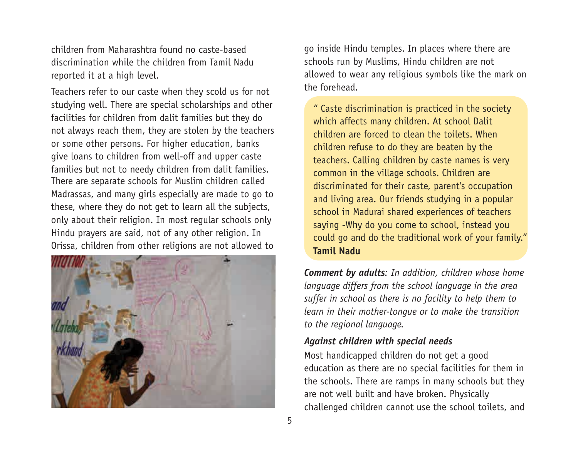children from Maharashtra found no caste-based discrimination while the children from Tamil Nadu reported it at a high level.

Teachers refer to our caste when they scold us for not studying well. There are special scholarships and other facilities for children from dalit families but they do not always reach them, they are stolen by the teachers or some other persons. For higher education, banks give loans to children from well-off and upper caste families but not to needy children from dalit families. There are separate schools for Muslim children called Madrassas, and many girls especially are made to go to these, where they do not get to learn all the subjects, only about their religion. In most regular schools only Hindu prayers are said, not of any other religion. In Orissa, children from other religions are not allowed to



go inside Hindu temples. In places where there are schools run by Muslims, Hindu children are not allowed to wear any religious symbols like the mark on the forehead.

" Caste discrimination is practiced in the society which affects many children. At school Dalit children are forced to clean the toilets. When children refuse to do they are beaten by the teachers. Calling children by caste names is very common in the village schools. Children are discriminated for their caste, parent's occupation and living area. Our friends studying in a popular school in Madurai shared experiences of teachers saying -Why do you come to school, instead you could go and do the traditional work of your family." **Tamil Nadu**

*Comment by adults: In addition, children whose home language differs from the school language in the area suffer in school as there is no facility to help them to learn in their mother-tongue or to make the transition to the regional language.*

### *Against children with special needs*

Most handicapped children do not get a good education as there are no special facilities for them in the schools. There are ramps in many schools but they are not well built and have broken. Physically challenged children cannot use the school toilets, and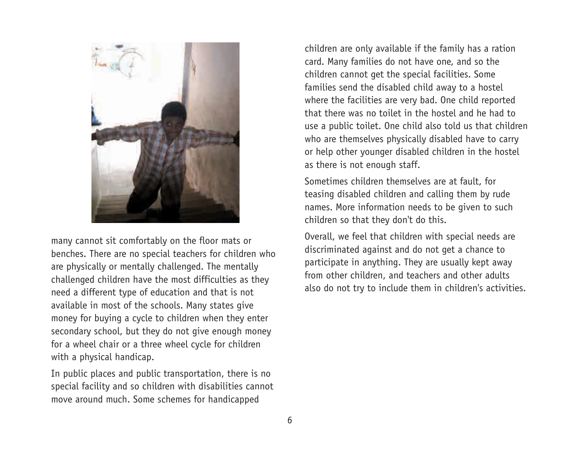

many cannot sit comfortably on the floor mats or benches. There are no special teachers for children who are physically or mentally challenged. The mentally challenged children have the most difficulties as they need a different type of education and that is not available in most of the schools. Many states give money for buying a cycle to children when they enter secondary school, but they do not give enough money for a wheel chair or a three wheel cycle for children with a physical handicap.

In public places and public transportation, there is no special facility and so children with disabilities cannot move around much. Some schemes for handicapped

children are only available if the family has a ration card. Many families do not have one, and so the children cannot get the special facilities. Some families send the disabled child away to a hostel where the facilities are very bad. One child reported that there was no toilet in the hostel and he had to use a public toilet. One child also told us that children who are themselves physically disabled have to carry or help other younger disabled children in the hostel as there is not enough staff.

Sometimes children themselves are at fault, for teasing disabled children and calling them by rude names. More information needs to be given to such children so that they don't do this.

Overall, we feel that children with special needs are discriminated against and do not get a chance to participate in anything. They are usually kept away from other children, and teachers and other adults also do not try to include them in children's activities.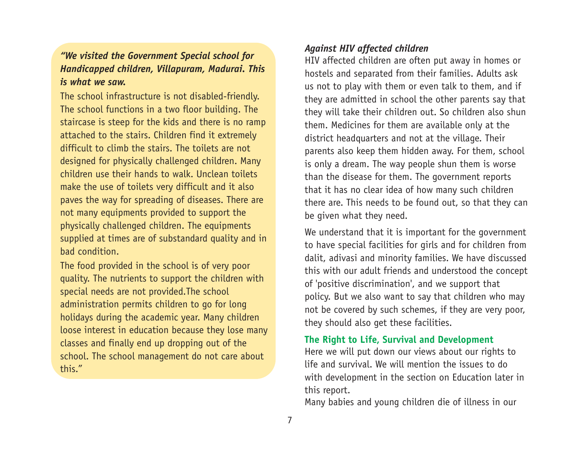## *"We visited the Government Special school for Handicapped children, Villapuram, Madurai. This is what we saw.*

The school infrastructure is not disabled-friendly. The school functions in a two floor building. The staircase is steep for the kids and there is no ramp attached to the stairs. Children find it extremely difficult to climb the stairs. The toilets are not designed for physically challenged children. Many children use their hands to walk. Unclean toilets make the use of toilets very difficult and it also paves the way for spreading of diseases. There are not many equipments provided to support the physically challenged children. The equipments supplied at times are of substandard quality and in bad condition.

The food provided in the school is of very poor quality. The nutrients to support the children with special needs are not provided.The school administration permits children to go for long holidays during the academic year. Many children loose interest in education because they lose many classes and finally end up dropping out of the school. The school management do not care about this."

### *Against HIV affected children*

HIV affected children are often put away in homes or hostels and separated from their families. Adults ask us not to play with them or even talk to them, and if they are admitted in school the other parents say that they will take their children out. So children also shun them. Medicines for them are available only at the district headquarters and not at the village. Their parents also keep them hidden away. For them, school is only a dream. The way people shun them is worse than the disease for them. The government reports that it has no clear idea of how many such children there are. This needs to be found out, so that they can be given what they need.

We understand that it is important for the government to have special facilities for girls and for children from dalit, adivasi and minority families. We have discussed this with our adult friends and understood the concept of 'positive discrimination', and we support that policy. But we also want to say that children who may not be covered by such schemes, if they are very poor, they should also get these facilities.

### **The Right to Life, Survival and Development**

Here we will put down our views about our rights to life and survival. We will mention the issues to do with development in the section on Education later in this report.

Many babies and young children die of illness in our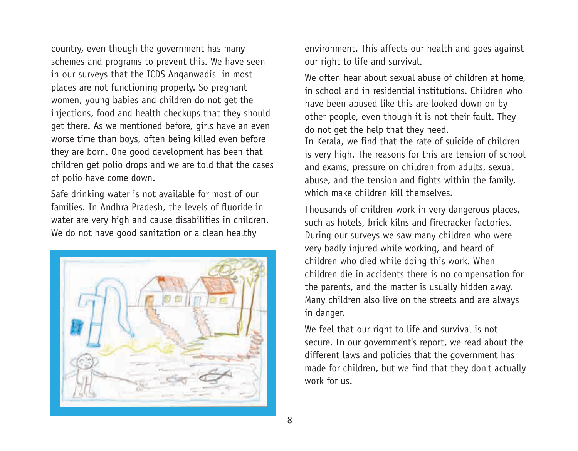country, even though the government has many schemes and programs to prevent this. We have seen in our surveys that the ICDS Anganwadis in most places are not functioning properly. So pregnant women, young babies and children do not get the injections, food and health checkups that they should get there. As we mentioned before, girls have an even worse time than boys, often being killed even before they are born. One good development has been that children get polio drops and we are told that the cases of polio have come down.

Safe drinking water is not available for most of our families. In Andhra Pradesh, the levels of fluoride in water are very high and cause disabilities in children. We do not have good sanitation or a clean healthy



environment. This affects our health and goes against our right to life and survival.

We often hear about sexual abuse of children at home. in school and in residential institutions. Children who have been abused like this are looked down on by other people, even though it is not their fault. They do not get the help that they need. In Kerala, we find that the rate of suicide of children is very high. The reasons for this are tension of school and exams, pressure on children from adults, sexual abuse, and the tension and fights within the family, which make children kill themselves.

Thousands of children work in very dangerous places, such as hotels, brick kilns and firecracker factories. During our surveys we saw many children who were very badly injured while working, and heard of children who died while doing this work. When children die in accidents there is no compensation for the parents, and the matter is usually hidden away. Many children also live on the streets and are always in danger.

We feel that our right to life and survival is not secure. In our government's report, we read about the different laws and policies that the government has made for children, but we find that they don't actually work for us.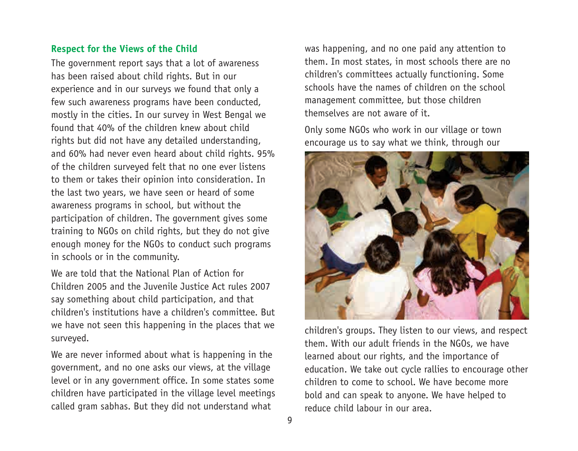### **Respect for the Views of the Child**

The government report says that a lot of awareness has been raised about child rights. But in our experience and in our surveys we found that only a few such awareness programs have been conducted, mostly in the cities. In our survey in West Bengal we found that 40% of the children knew about child rights but did not have any detailed understanding, and 60% had never even heard about child rights. 95% of the children surveyed felt that no one ever listens to them or takes their opinion into consideration. In the last two years, we have seen or heard of some awareness programs in school, but without the participation of children. The government gives some training to NGOs on child rights, but they do not give enough money for the NGOs to conduct such programs in schools or in the community.

We are told that the National Plan of Action for Children 2005 and the Juvenile Justice Act rules 2007 say something about child participation, and that children's institutions have a children's committee. But we have not seen this happening in the places that we surveyed.

We are never informed about what is happening in the government, and no one asks our views, at the village level or in any government office. In some states some children have participated in the village level meetings called gram sabhas. But they did not understand what

was happening, and no one paid any attention to them. In most states, in most schools there are no children's committees actually functioning. Some schools have the names of children on the school management committee, but those children themselves are not aware of it.

Only some NGOs who work in our village or town encourage us to say what we think, through our



children's groups. They listen to our views, and respect them. With our adult friends in the NGOs, we have learned about our rights, and the importance of education. We take out cycle rallies to encourage other children to come to school. We have become more bold and can speak to anyone. We have helped to reduce child labour in our area.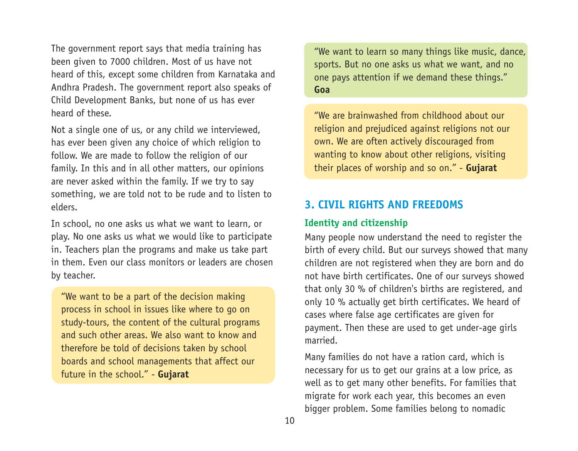The government report says that media training has been given to 7000 children. Most of us have not heard of this, except some children from Karnataka and Andhra Pradesh. The government report also speaks of Child Development Banks, but none of us has ever heard of these.

Not a single one of us, or any child we interviewed, has ever been given any choice of which religion to follow. We are made to follow the religion of our family. In this and in all other matters, our opinions are never asked within the family. If we try to say something, we are told not to be rude and to listen to elders.

In school, no one asks us what we want to learn, or play. No one asks us what we would like to participate in. Teachers plan the programs and make us take part in them. Even our class monitors or leaders are chosen by teacher.

"We want to be a part of the decision making process in school in issues like where to go on study-tours, the content of the cultural programs and such other areas. We also want to know and therefore be told of decisions taken by school boards and school managements that affect our future in the school." - **Gujarat**

"We want to learn so many things like music, dance, sports. But no one asks us what we want, and no one pays attention if we demand these things." **Goa**

"We are brainwashed from childhood about our religion and prejudiced against religions not our own. We are often actively discouraged from wanting to know about other religions, visiting their places of worship and so on." - **Gujarat**

## **3. CIVIL RIGHTS AND FREEDOMS**

### **Identity and citizenship**

Many people now understand the need to register the birth of every child. But our surveys showed that many children are not registered when they are born and do not have birth certificates. One of our surveys showed that only 30 % of children's births are registered, and only 10 % actually get birth certificates. We heard of cases where false age certificates are given for payment. Then these are used to get under-age girls married.

Many families do not have a ration card, which is necessary for us to get our grains at a low price, as well as to get many other benefits. For families that migrate for work each year, this becomes an even bigger problem. Some families belong to nomadic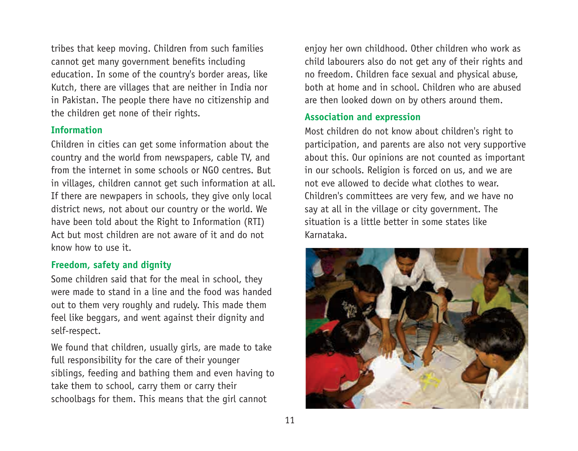tribes that keep moving. Children from such families cannot get many government benefits including education. In some of the country's border areas, like Kutch, there are villages that are neither in India nor in Pakistan. The people there have no citizenship and the children get none of their rights.

#### **Information**

Children in cities can get some information about the country and the world from newspapers, cable TV, and from the internet in some schools or NGO centres. But in villages, children cannot get such information at all. If there are newpapers in schools, they give only local district news, not about our country or the world. We have been told about the Right to Information (RTI) Act but most children are not aware of it and do not know how to use it.

#### **Freedom, safety and dignity**

Some children said that for the meal in school, they were made to stand in a line and the food was handed out to them very roughly and rudely. This made them feel like beggars, and went against their dignity and self-respect.

We found that children, usually girls, are made to take full responsibility for the care of their younger siblings, feeding and bathing them and even having to take them to school, carry them or carry their schoolbags for them. This means that the girl cannot

enjoy her own childhood. Other children who work as child labourers also do not get any of their rights and no freedom. Children face sexual and physical abuse, both at home and in school. Children who are abused are then looked down on by others around them.

#### **Association and expression**

Most children do not know about children's right to participation, and parents are also not very supportive about this. Our opinions are not counted as important in our schools. Religion is forced on us, and we are not eve allowed to decide what clothes to wear. Children's committees are very few, and we have no say at all in the village or city government. The situation is a little better in some states like Karnataka.

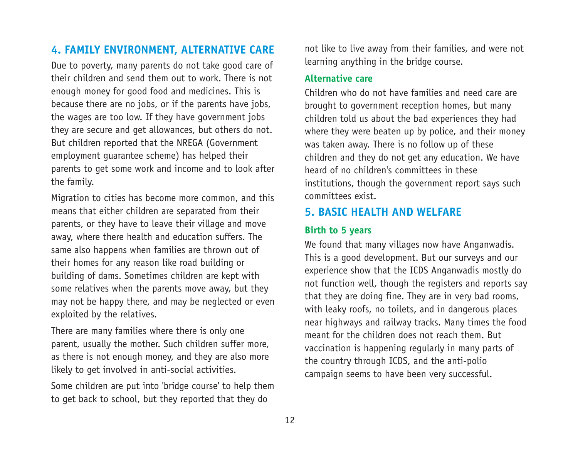## **4. FAMILY ENVIRONMENT, ALTERNATIVE CARE**

Due to poverty, many parents do not take good care of their children and send them out to work. There is not enough money for good food and medicines. This is because there are no jobs, or if the parents have jobs, the wages are too low. If they have government jobs they are secure and get allowances, but others do not. But children reported that the NREGA (Government employment guarantee scheme) has helped their parents to get some work and income and to look after the family.

Migration to cities has become more common, and this means that either children are separated from their parents, or they have to leave their village and move away, where there health and education suffers. The same also happens when families are thrown out of their homes for any reason like road building or building of dams. Sometimes children are kept with some relatives when the parents move away, but they may not be happy there, and may be neglected or even exploited by the relatives.

There are many families where there is only one parent, usually the mother. Such children suffer more, as there is not enough money, and they are also more likely to get involved in anti-social activities.

Some children are put into 'bridge course' to help them to get back to school, but they reported that they do

not like to live away from their families, and were not learning anything in the bridge course.

#### **Alternative care**

Children who do not have families and need care are brought to government reception homes, but many children told us about the bad experiences they had where they were beaten up by police, and their money was taken away. There is no follow up of these children and they do not get any education. We have heard of no children's committees in these institutions, though the government report says such committees exist.

## **5. BASIC HEALTH AND WELFARE**

### **Birth to 5 years**

We found that many villages now have Anganwadis. This is a good development. But our surveys and our experience show that the ICDS Anganwadis mostly do not function well, though the registers and reports say that they are doing fine. They are in very bad rooms, with leaky roofs, no toilets, and in dangerous places near highways and railway tracks. Many times the food meant for the children does not reach them. But vaccination is happening regularly in many parts of the country through ICDS, and the anti-polio campaign seems to have been very successful.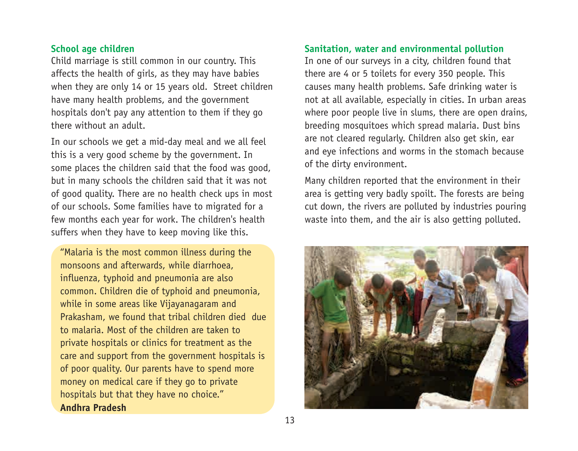#### **School age children**

Child marriage is still common in our country. This affects the health of girls, as they may have babies when they are only 14 or 15 years old. Street children have many health problems, and the government hospitals don't pay any attention to them if they go there without an adult.

In our schools we get a mid-day meal and we all feel this is a very good scheme by the government. In some places the children said that the food was good, but in many schools the children said that it was not of good quality. There are no health check ups in most of our schools. Some families have to migrated for a few months each year for work. The children's health suffers when they have to keep moving like this.

"Malaria is the most common illness during the monsoons and afterwards, while diarrhoea, influenza, typhoid and pneumonia are also common. Children die of typhoid and pneumonia, while in some areas like Vijayanagaram and Prakasham, we found that tribal children died due to malaria. Most of the children are taken to private hospitals or clinics for treatment as the care and support from the government hospitals is of poor quality. Our parents have to spend more money on medical care if they go to private hospitals but that they have no choice."

#### **Andhra Pradesh**

#### **Sanitation, water and environmental pollution**

In one of our surveys in a city, children found that there are 4 or 5 toilets for every 350 people. This causes many health problems. Safe drinking water is not at all available, especially in cities. In urban areas where poor people live in slums, there are open drains, breeding mosquitoes which spread malaria. Dust bins are not cleared regularly. Children also get skin, ear and eye infections and worms in the stomach because of the dirty environment.

Many children reported that the environment in their area is getting very badly spoilt. The forests are being cut down, the rivers are polluted by industries pouring waste into them, and the air is also getting polluted.

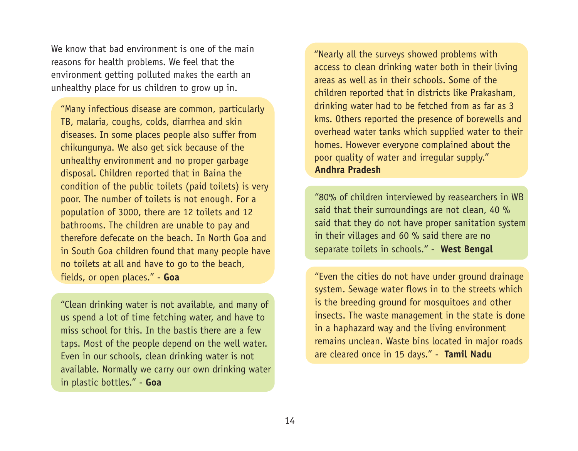We know that had environment is one of the main reasons for health problems. We feel that the environment getting polluted makes the earth an unhealthy place for us children to grow up in.

"Many infectious disease are common, particularly TB, malaria, coughs, colds, diarrhea and skin diseases. In some places people also suffer from chikungunya. We also get sick because of the unhealthy environment and no proper garbage disposal. Children reported that in Baina the condition of the public toilets (paid toilets) is very poor. The number of toilets is not enough. For a population of 3000, there are 12 toilets and 12 bathrooms. The children are unable to pay and therefore defecate on the beach. In North Goa and in South Goa children found that many people have no toilets at all and have to go to the beach, fields, or open places." - **Goa**

"Clean drinking water is not available, and many of us spend a lot of time fetching water, and have to miss school for this. In the bastis there are a few taps. Most of the people depend on the well water. Even in our schools, clean drinking water is not available. Normally we carry our own drinking water in plastic bottles." - **Goa**

"Nearly all the surveys showed problems with access to clean drinking water both in their living areas as well as in their schools. Some of the children reported that in districts like Prakasham, drinking water had to be fetched from as far as 3 kms. Others reported the presence of borewells and overhead water tanks which supplied water to their homes. However everyone complained about the poor quality of water and irregular supply." **Andhra Pradesh**

"80% of children interviewed by reasearchers in WB said that their surroundings are not clean, 40 % said that they do not have proper sanitation system in their villages and 60 % said there are no separate toilets in schools." - **West Bengal**

"Even the cities do not have under ground drainage system. Sewage water flows in to the streets which is the breeding ground for mosquitoes and other insects. The waste management in the state is done in a haphazard way and the living environment remains unclean. Waste bins located in major roads are cleared once in 15 days." - **Tamil Nadu**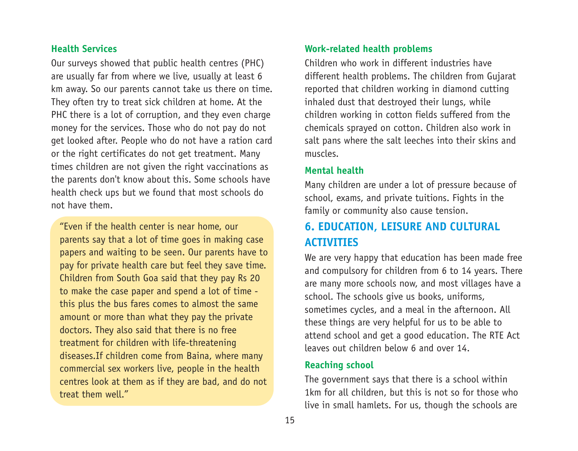### **Health Services**

Our surveys showed that public health centres (PHC) are usually far from where we live, usually at least 6 km away. So our parents cannot take us there on time. They often try to treat sick children at home. At the PHC there is a lot of corruption, and they even charge money for the services. Those who do not pay do not get looked after. People who do not have a ration card or the right certificates do not get treatment. Many times children are not given the right vaccinations as the parents don't know about this. Some schools have health check ups but we found that most schools do not have them.

"Even if the health center is near home, our parents say that a lot of time goes in making case papers and waiting to be seen. Our parents have to pay for private health care but feel they save time. Children from South Goa said that they pay Rs 20 to make the case paper and spend a lot of time this plus the bus fares comes to almost the same amount or more than what they pay the private doctors. They also said that there is no free treatment for children with life-threatening diseases.If children come from Baina, where many commercial sex workers live, people in the health centres look at them as if they are bad, and do not treat them well."

### **Work-related health problems**

Children who work in different industries have different health problems. The children from Gujarat reported that children working in diamond cutting inhaled dust that destroyed their lungs, while children working in cotton fields suffered from the chemicals sprayed on cotton. Children also work in salt pans where the salt leeches into their skins and muscles.

#### **Mental health**

Many children are under a lot of pressure because of school, exams, and private tuitions. Fights in the family or community also cause tension.

## **6. EDUCATION, LEISURE AND CULTURAL ACTIVITIES**

We are very happy that education has been made free and compulsory for children from 6 to 14 years. There are many more schools now, and most villages have a school. The schools give us books, uniforms, sometimes cycles, and a meal in the afternoon. All these things are very helpful for us to be able to attend school and get a good education. The RTE Act leaves out children below 6 and over 14.

#### **Reaching school**

The government says that there is a school within 1km for all children, but this is not so for those who live in small hamlets. For us, though the schools are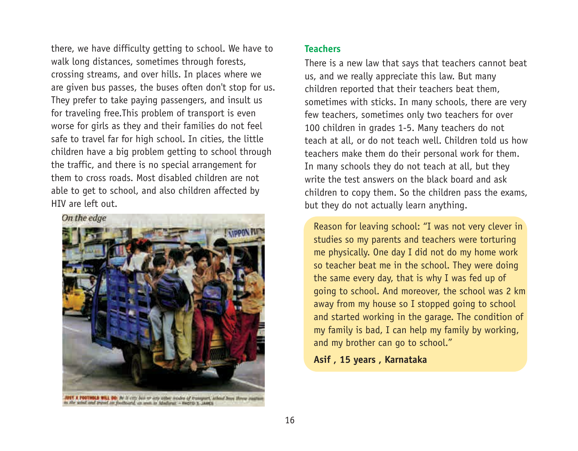there, we have difficulty getting to school. We have to walk long distances, sometimes through forests, crossing streams, and over hills. In places where we are given bus passes, the buses often don't stop for us. They prefer to take paying passengers, and insult us for traveling free.This problem of transport is even worse for girls as they and their families do not feel safe to travel far for high school. In cities, the little children have a big problem getting to school through the traffic, and there is no special arrangement for them to cross roads. Most disabled children are not able to get to school, and also children affected by HIV are left out.



**IT A POOTHOLD WILL DO**, By It ally the art any other modes of transport, achied how threw easily.<br>The wind and travel on footboard, as well as Mediana: - Bancro x Lastra.

#### **Teachers**

There is a new law that says that teachers cannot beat us, and we really appreciate this law. But many children reported that their teachers beat them, sometimes with sticks. In many schools, there are very few teachers, sometimes only two teachers for over 100 children in grades 1-5. Many teachers do not teach at all, or do not teach well. Children told us how teachers make them do their personal work for them. In many schools they do not teach at all, but they write the test answers on the black board and ask children to copy them. So the children pass the exams, but they do not actually learn anything.

Reason for leaving school: "I was not very clever in studies so my parents and teachers were torturing me physically. One day I did not do my home work so teacher beat me in the school. They were doing the same every day, that is why I was fed up of going to school. And moreover, the school was 2 km away from my house so I stopped going to school and started working in the garage. The condition of my family is bad, I can help my family by working, and my brother can go to school."

#### **Asif , 15 years , Karnataka**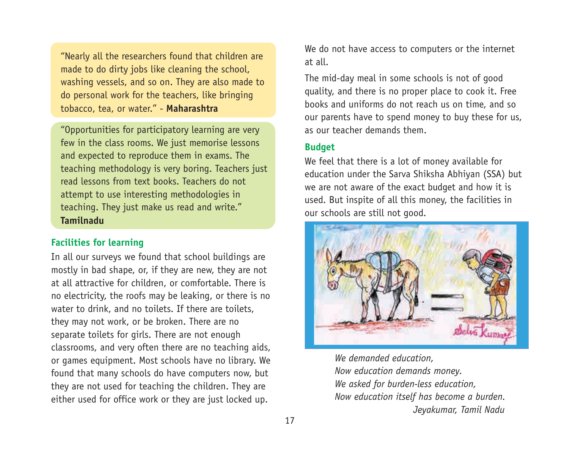"Nearly all the researchers found that children are made to do dirty jobs like cleaning the school, washing vessels, and so on. They are also made to do personal work for the teachers, like bringing tobacco, tea, or water." - **Maharashtra**

"Opportunities for participatory learning are very few in the class rooms. We just memorise lessons and expected to reproduce them in exams. The teaching methodology is very boring. Teachers just read lessons from text books. Teachers do not attempt to use interesting methodologies in teaching. They just make us read and write." **Tamilnadu**

#### **Facilities for learning**

In all our surveys we found that school buildings are mostly in bad shape, or, if they are new, they are not at all attractive for children, or comfortable. There is no electricity, the roofs may be leaking, or there is no water to drink, and no toilets. If there are toilets, they may not work, or be broken. There are no separate toilets for girls. There are not enough classrooms, and very often there are no teaching aids, or games equipment. Most schools have no library. We found that many schools do have computers now, but they are not used for teaching the children. They are either used for office work or they are just locked up.

We do not have access to computers or the internet at all.

The mid-day meal in some schools is not of good quality, and there is no proper place to cook it. Free books and uniforms do not reach us on time, and so our parents have to spend money to buy these for us, as our teacher demands them.

#### **Budget**

We feel that there is a lot of money available for education under the Sarva Shiksha Abhiyan (SSA) but we are not aware of the exact budget and how it is used. But inspite of all this money, the facilities in our schools are still not good.



*We demanded education, Now education demands money. We asked for burden-less education, Now education itself has become a burden. Jeyakumar, Tamil Nadu*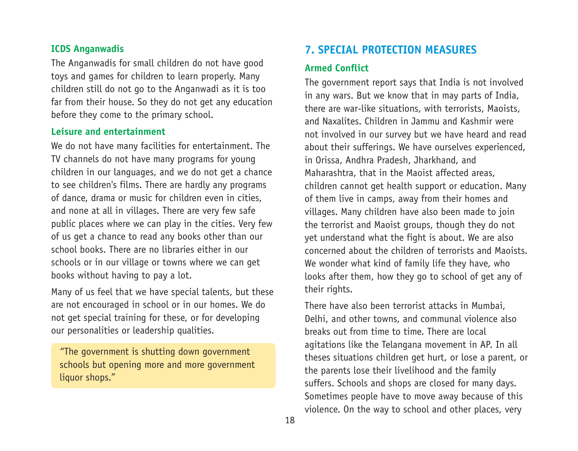#### **ICDS Anganwadis**

The Anganwadis for small children do not have good toys and games for children to learn properly. Many children still do not go to the Anganwadi as it is too far from their house. So they do not get any education before they come to the primary school.

#### **Leisure and entertainment**

We do not have many facilities for entertainment. The TV channels do not have many programs for young children in our languages, and we do not get a chance to see children's films. There are hardly any programs of dance, drama or music for children even in cities, and none at all in villages. There are very few safe public places where we can play in the cities. Very few of us get a chance to read any books other than our school books. There are no libraries either in our schools or in our village or towns where we can get books without having to pay a lot.

Many of us feel that we have special talents, but these are not encouraged in school or in our homes. We do not get special training for these, or for developing our personalities or leadership qualities.

"The government is shutting down government schools but opening more and more government liquor shops."

## **7. SPECIAL PROTECTION MEASURES**

### **Armed Conflict**

The government report says that India is not involved in any wars. But we know that in may parts of India, there are war-like situations, with terrorists, Maoists, and Naxalites. Children in Jammu and Kashmir were not involved in our survey but we have heard and read about their sufferings. We have ourselves experienced, in Orissa, Andhra Pradesh, Jharkhand, and Maharashtra, that in the Maoist affected areas, children cannot get health support or education. Many of them live in camps, away from their homes and villages. Many children have also been made to join the terrorist and Maoist groups, though they do not yet understand what the fight is about. We are also concerned about the children of terrorists and Maoists. We wonder what kind of family life they have, who looks after them, how they go to school of get any of their rights.

There have also been terrorist attacks in Mumbai, Delhi, and other towns, and communal violence also breaks out from time to time. There are local agitations like the Telangana movement in AP. In all theses situations children get hurt, or lose a parent, or the parents lose their livelihood and the family suffers. Schools and shops are closed for many days. Sometimes people have to move away because of this violence. On the way to school and other places, very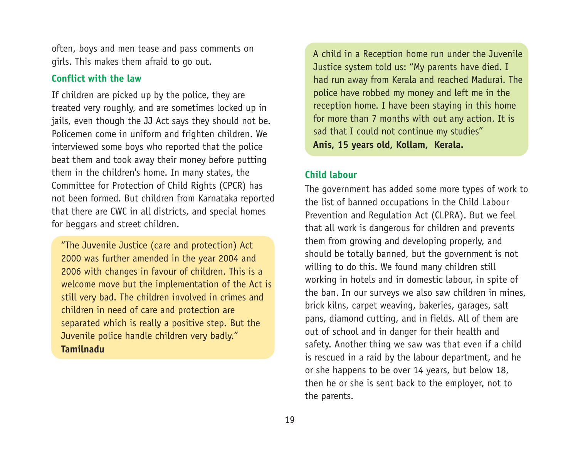often, boys and men tease and pass comments on girls. This makes them afraid to go out.

### **Conflict with the law**

If children are picked up by the police, they are treated very roughly, and are sometimes locked up in jails, even though the JJ Act says they should not be. Policemen come in uniform and frighten children. We interviewed some boys who reported that the police beat them and took away their money before putting them in the children's home. In many states, the Committee for Protection of Child Rights (CPCR) has not been formed. But children from Karnataka reported that there are CWC in all districts, and special homes for beggars and street children.

"The Juvenile Justice (care and protection) Act 2000 was further amended in the year 2004 and 2006 with changes in favour of children. This is a welcome move but the implementation of the Act is still very bad. The children involved in crimes and children in need of care and protection are separated which is really a positive step. But the Juvenile police handle children very badly." **Tamilnadu** 

A child in a Reception home run under the Juvenile Justice system told us: "My parents have died. I had run away from Kerala and reached Madurai. The police have robbed my money and left me in the reception home. I have been staying in this home for more than 7 months with out any action. It is sad that I could not continue my studies" **Anis, 15 years old, Kollam, Kerala.**

### **Child labour**

The government has added some more types of work to the list of banned occupations in the Child Labour Prevention and Regulation Act (CLPRA). But we feel that all work is dangerous for children and prevents them from growing and developing properly, and should be totally banned, but the government is not willing to do this. We found many children still working in hotels and in domestic labour, in spite of the ban. In our surveys we also saw children in mines, brick kilns, carpet weaving, bakeries, garages, salt pans, diamond cutting, and in fields. All of them are out of school and in danger for their health and safety. Another thing we saw was that even if a child is rescued in a raid by the labour department, and he or she happens to be over 14 years, but below 18, then he or she is sent back to the employer, not to the parents.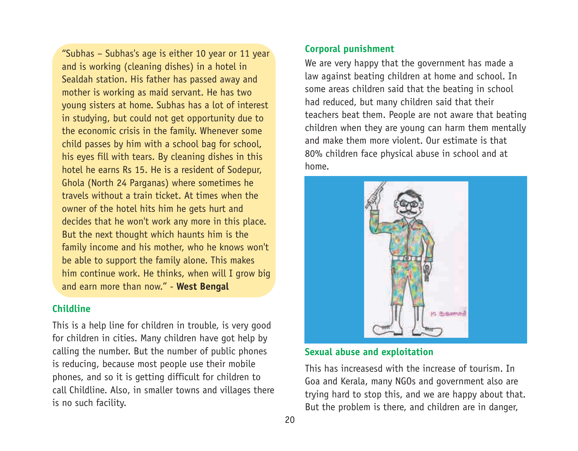"Subhas – Subhas's age is either 10 year or 11 year and is working (cleaning dishes) in a hotel in Sealdah station. His father has passed away and mother is working as maid servant. He has two young sisters at home. Subhas has a lot of interest in studying, but could not get opportunity due to the economic crisis in the family. Whenever some child passes by him with a school bag for school, his eyes fill with tears. By cleaning dishes in this hotel he earns Rs 15. He is a resident of Sodepur, Ghola (North 24 Parganas) where sometimes he travels without a train ticket. At times when the owner of the hotel hits him he gets hurt and decides that he won't work any more in this place. But the next thought which haunts him is the family income and his mother, who he knows won't be able to support the family alone. This makes him continue work. He thinks, when will I grow big and earn more than now." - **West Bengal** 

#### **Childline**

This is a help line for children in trouble, is very good for children in cities. Many children have got help by calling the number. But the number of public phones is reducing, because most people use their mobile phones, and so it is getting difficult for children to call Childline. Also, in smaller towns and villages there is no such facility.

### **Corporal punishment**

We are very happy that the government has made a law against beating children at home and school. In some areas children said that the beating in school had reduced, but many children said that their teachers beat them. People are not aware that beating children when they are young can harm them mentally and make them more violent. Our estimate is that 80% children face physical abuse in school and at home.



#### **Sexual abuse and exploitation**

This has increasesd with the increase of tourism. In Goa and Kerala, many NGOs and government also are trying hard to stop this, and we are happy about that. But the problem is there, and children are in danger,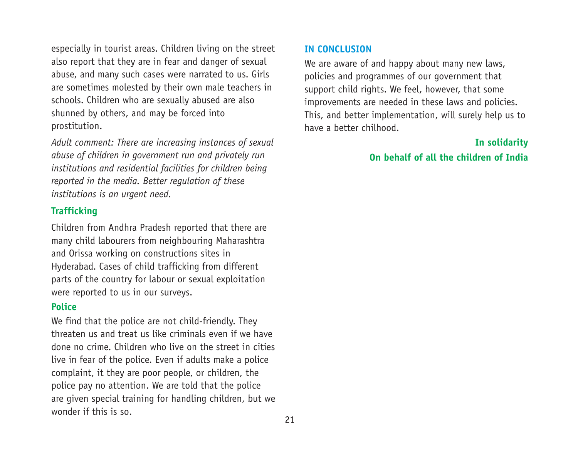especially in tourist areas. Children living on the street also report that they are in fear and danger of sexual abuse, and many such cases were narrated to us. Girls are sometimes molested by their own male teachers in schools. Children who are sexually abused are also shunned by others, and may be forced into prostitution.

*Adult comment: There are increasing instances of sexual abuse of children in government run and privately run institutions and residential facilities for children being reported in the media. Better regulation of these institutions is an urgent need.* 

### **Trafficking**

Children from Andhra Pradesh reported that there are many child labourers from neighbouring Maharashtra and Orissa working on constructions sites in Hyderabad. Cases of child trafficking from different parts of the country for labour or sexual exploitation were reported to us in our surveys.

### **Police**

We find that the police are not child-friendly. They threaten us and treat us like criminals even if we have done no crime. Children who live on the street in cities live in fear of the police. Even if adults make a police complaint, it they are poor people, or children, the police pay no attention. We are told that the police are given special training for handling children, but we wonder if this is so.

### **IN CONCLUSION**

We are aware of and happy about many new laws, policies and programmes of our government that support child rights. We feel, however, that some improvements are needed in these laws and policies. This, and better implementation, will surely help us to have a better chilhood.

## **In solidarity On behalf of all the children of India**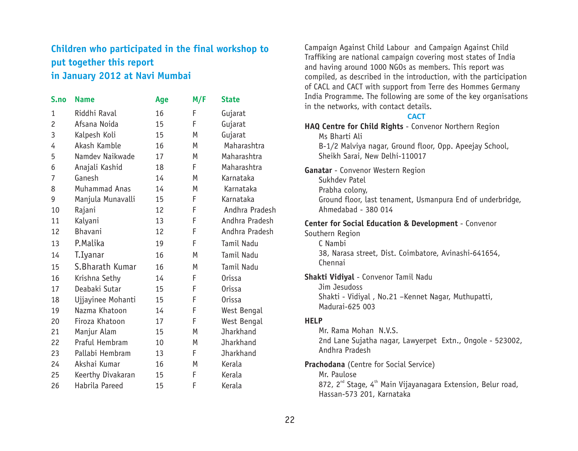## **Children who participated in the final workshop to put together this report in January 2012 at Navi Mumbai**

| S.no           | <b>Name</b>       | Age | M/F | <b>State</b>     |
|----------------|-------------------|-----|-----|------------------|
| $\mathbf{1}$   | Riddhi Raval      | 16  | F   | Gujarat          |
| $\overline{c}$ | Afsana Noida      | 15  | F   | Gujarat          |
| 3              | Kalpesh Koli      | 15  | M   | Gujarat          |
| 4              | Akash Kamble      | 16  | M   | Maharashtra      |
| 5              | Namdev Naikwade   | 17  | M   | Maharashtra      |
| 6              | Anajali Kashid    | 18  | F   | Maharashtra      |
| 7              | Ganesh            | 14  | M   | Karnataka        |
| 8              | Muhammad Anas     | 14  | M   | Karnataka        |
| 9              | Manjula Munavalli | 15  | F   | Karnataka        |
| 10             | Rajani            | 12  | F   | Andhra Pradesh   |
| 11             | Kalyani           | 13  | F   | Andhra Pradesh   |
| 12             | Bhavani           | 12  | F   | Andhra Pradesh   |
| 13             | P.Malika          | 19  | F   | Tamil Nadu       |
| 14             | T.Iyanar          | 16  | M   | Tamil Nadu       |
| 15             | S.Bharath Kumar   | 16  | M   | Tamil Nadu       |
| 16             | Krishna Sethy     | 14  | F   | <b>Orissa</b>    |
| 17             | Deabaki Sutar     | 15  | F   | Orissa           |
| 18             | Ujjayinee Mohanti | 15  | F   | Orissa           |
| 19             | Nazma Khatoon     | 14  | F   | West Bengal      |
| 20             | Firoza Khatoon    | 17  | F   | West Bengal      |
| 21             | Manjur Alam       | 15  | M   | <b>Jharkhand</b> |
| 22             | Praful Hembram    | 10  | M   | <b>Jharkhand</b> |
| 23             | Pallabi Hembram   | 13  | F   | Jharkhand        |
| 24             | Akshai Kumar      | 16  | M   | Kerala           |
| 25             | Keerthy Divakaran | 15  | F   | Kerala           |
| 26             | Habrila Pareed    | 15  | F   | Kerala           |

Campaign Against Child Labour and Campaign Against Child Traffiking are national campaign covering most states of India and having around 1000 NGOs as members. This report was compiled, as described in the introduction, with the participation of CACL and CACT with support from Terre des Hommes Germany India Programme. The following are some of the key organisations in the networks, with contact details.

#### **CACT**

| HAQ Centre for Child Rights - Convenor Northern Region<br>Ms Bharti Ali<br>B-1/2 Malviya nagar, Ground floor, Opp. Apeejay School,<br>Sheikh Sarai, New Delhi-110017              |
|-----------------------------------------------------------------------------------------------------------------------------------------------------------------------------------|
| Ganatar - Convenor Western Region<br>Sukhdev Patel<br>Prabha colony,<br>Ground floor, last tenament, Usmanpura End of underbridge,<br>Ahmedabad - 380 014                         |
| Center for Social Education & Development - Convenor<br>Southern Region<br>C Nambi<br>38, Narasa street, Dist. Coimbatore, Avinashi-641654,<br>Chennai                            |
| Shakti Vidiyal - Convenor Tamil Nadu<br>Jim Jesudoss<br>Shakti - Vidiyal, No.21 -Kennet Nagar, Muthupatti,<br>Madurai-625 003                                                     |
| <b>HELP</b><br>Mr. Rama Mohan N.V.S.<br>2nd Lane Sujatha nagar, Lawyerpet Extn., Ongole - 523002,<br>Andhra Pradesh                                                               |
| <b>Prachodana</b> (Centre for Social Service)<br>Mr. Paulose<br>872, 2 <sup>nd</sup> Stage, 4 <sup>th</sup> Main Vijayanagara Extension, Belur road,<br>Hassan-573 201, Karnataka |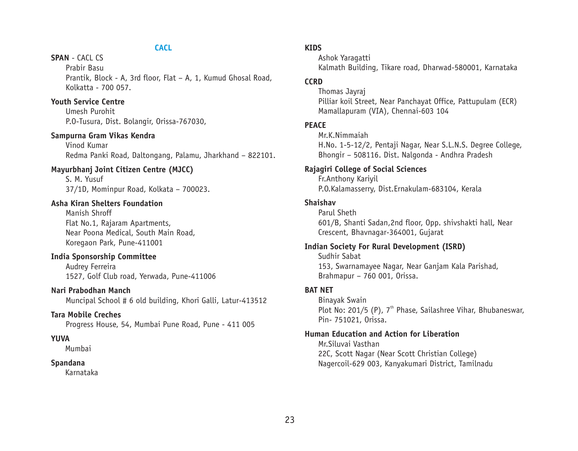#### **CACL**

#### **SPAN** - CACL CS

Prabir Basu Prantik, Block - A, 3rd floor, Flat – A, 1, Kumud Ghosal Road, Kolkatta - 700 057.

#### **Youth Service Centre**

Umesh Purohit P.O-Tusura, Dist. Bolangir, Orissa-767030,

#### **Sampurna Gram Vikas Kendra**

Vinod Kumar Redma Panki Road, Daltongang, Palamu, Jharkhand – 822101.

#### **Mayurbhanj Joint Citizen Centre (MJCC)**

S. M. Yusuf 37/1D, Mominpur Road, Kolkata – 700023.

#### **Asha Kiran Shelters Foundation**

Manish Shroff Flat No.1, Rajaram Apartments, Near Poona Medical, South Main Road, Koregaon Park, Pune-411001

#### **India Sponsorship Committee**

Audrey Ferreira 1527, Golf Club road, Yerwada, Pune-411006

#### **Nari Prabodhan Manch**

Muncipal School # 6 old building, Khori Galli, Latur-413512

#### **Tara Mobile Creches**

Progress House, 54, Mumbai Pune Road, Pune - 411 005

#### **YUVA**

Mumbai

#### **Spandana**

Karnataka

#### **KIDS**

Ashok Yaragatti Kalmath Building, Tikare road, Dharwad-580001, Karnataka

#### **CCRD**

Thomas Jayraj Pilliar koil Street, Near Panchayat Office, Pattupulam (ECR) Mamallapuram (VIA), Chennai-603 104

#### **PEACE**

Mr.K.Nimmaiah H.No. 1-5-12/2, Pentaji Nagar, Near S.L.N.S. Degree College, Bhongir – 508116. Dist. Nalgonda - Andhra Pradesh

#### **Rajagiri College of Social Sciences**

Fr.Anthony Kariyil P.O.Kalamasserry, Dist.Ernakulam-683104, Kerala

#### **Shaishav**

Parul Sheth 601/B, Shanti Sadan,2nd floor, Opp. shivshakti hall, Near Crescent, Bhavnagar-364001, Gujarat

#### **Indian Society For Rural Development (ISRD)**

Sudhir Sabat 153, Swarnamayee Nagar, Near Ganjam Kala Parishad, Brahmapur – 760 001, Orissa.

#### **BAT NET**

Binayak Swain Plot No: 201/5 (P),  $7<sup>th</sup>$  Phase, Sailashree Vihar, Bhubaneswar, Pin- 751021, Orissa.

#### **Human Education and Action for Liberation**

Mr.Siluvai Vasthan 22C, Scott Nagar (Near Scott Christian College) Nagercoil-629 003, Kanyakumari District, Tamilnadu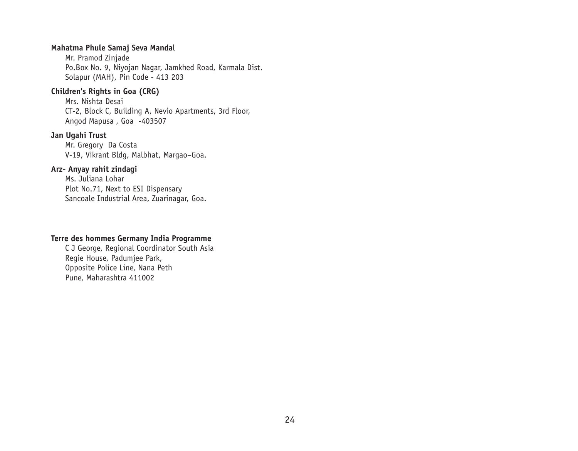#### **Mahatma Phule Samaj Seva Manda**l

Mr. Pramod Zinjade Po.Box No. 9, Niyojan Nagar, Jamkhed Road, Karmala Dist. Solapur (MAH), Pin Code - 413 203

#### **Children's Rights in Goa (CRG)**

Mrs. Nishta Desai CT-2, Block C, Building A, Nevio Apartments, 3rd Floor, Angod Mapusa , Goa -403507

#### **Jan Ugahi Trust**

Mr. Gregory Da Costa V-19, Vikrant Bldg, Malbhat, Margao–Goa.

#### **Arz- Anyay rahit zindagi**

Ms. Juliana Lohar Plot No.71, Next to ESI Dispensary Sancoale Industrial Area, Zuarinagar, Goa.

#### **Terre des hommes Germany India Programme**

C J George, Regional Coordinator South Asia Regie House, Padumjee Park, Opposite Police Line, Nana Peth Pune, Maharashtra 411002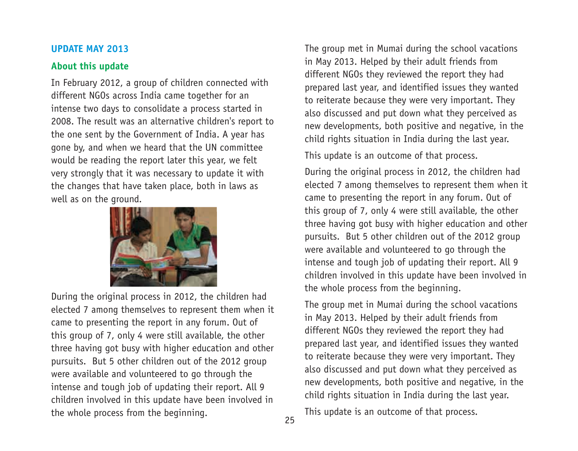#### **UPDATE MAY 2013**

### **About this update**

In February 2012, a group of children connected with different NGOs across India came together for an intense two days to consolidate a process started in 2008. The result was an alternative children's report to the one sent by the Government of India. A year has gone by, and when we heard that the UN committee would be reading the report later this year, we felt very strongly that it was necessary to update it with the changes that have taken place, both in laws as well as on the ground.



During the original process in 2012, the children had elected 7 among themselves to represent them when it came to presenting the report in any forum. Out of this group of 7, only 4 were still available, the other three having got busy with higher education and other pursuits. But 5 other children out of the 2012 group were available and volunteered to go through the intense and tough job of updating their report. All 9 children involved in this update have been involved in the whole process from the beginning.

The group met in Mumai during the school vacations in May 2013. Helped by their adult friends from different NGOs they reviewed the report they had prepared last year, and identified issues they wanted to reiterate because they were very important. They also discussed and put down what they perceived as new developments, both positive and negative, in the child rights situation in India during the last year.

This update is an outcome of that process.

During the original process in 2012, the children had elected 7 among themselves to represent them when it came to presenting the report in any forum. Out of this group of 7, only 4 were still available, the other three having got busy with higher education and other pursuits. But 5 other children out of the 2012 group were available and volunteered to go through the intense and tough job of updating their report. All 9 children involved in this update have been involved in the whole process from the beginning.

The group met in Mumai during the school vacations in May 2013. Helped by their adult friends from different NGOs they reviewed the report they had prepared last year, and identified issues they wanted to reiterate because they were very important. They also discussed and put down what they perceived as new developments, both positive and negative, in the child rights situation in India during the last year.

This update is an outcome of that process.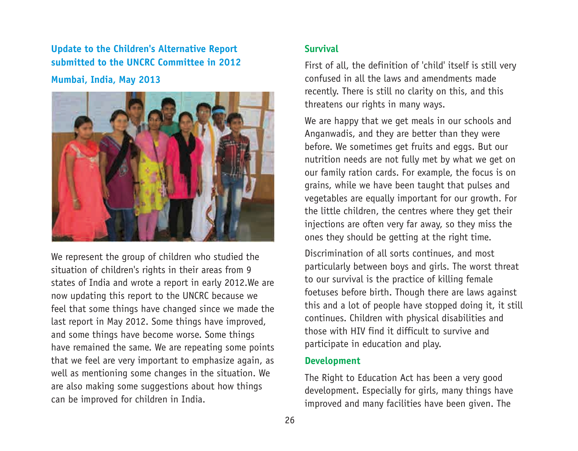## **Update to the Children's Alternative Report submitted to the UNCRC Committee in 2012**

**Mumbai, India, May 2013**



We represent the group of children who studied the situation of children's rights in their areas from 9 states of India and wrote a report in early 2012.We are now updating this report to the UNCRC because we feel that some things have changed since we made the last report in May 2012. Some things have improved, and some things have become worse. Some things have remained the same. We are repeating some points that we feel are very important to emphasize again, as well as mentioning some changes in the situation. We are also making some suggestions about how things can be improved for children in India.

### **Survival**

First of all, the definition of 'child' itself is still very confused in all the laws and amendments made recently. There is still no clarity on this, and this threatens our rights in many ways.

We are happy that we get meals in our schools and Anganwadis, and they are better than they were before. We sometimes get fruits and eggs. But our nutrition needs are not fully met by what we get on our family ration cards. For example, the focus is on grains, while we have been taught that pulses and vegetables are equally important for our growth. For the little children, the centres where they get their injections are often very far away, so they miss the ones they should be getting at the right time.

Discrimination of all sorts continues, and most particularly between boys and girls. The worst threat to our survival is the practice of killing female foetuses before birth. Though there are laws against this and a lot of people have stopped doing it, it still continues. Children with physical disabilities and those with HIV find it difficult to survive and participate in education and play.

### **Development**

The Right to Education Act has been a very good development. Especially for girls, many things have improved and many facilities have been given. The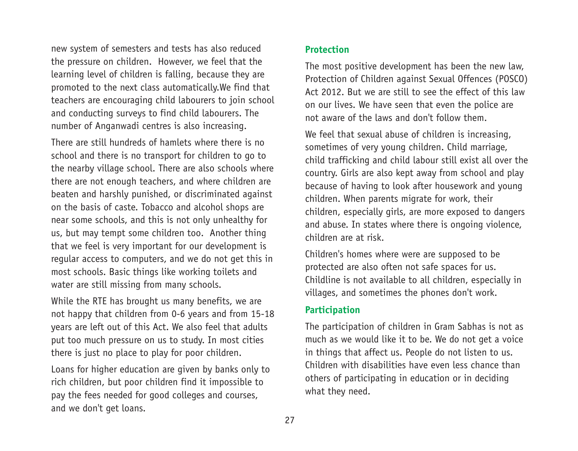new system of semesters and tests has also reduced the pressure on children. However, we feel that the learning level of children is falling, because they are promoted to the next class automatically.We find that teachers are encouraging child labourers to join school and conducting surveys to find child labourers. The number of Anganwadi centres is also increasing.

There are still hundreds of hamlets where there is no school and there is no transport for children to go to the nearby village school. There are also schools where there are not enough teachers, and where children are beaten and harshly punished, or discriminated against on the basis of caste. Tobacco and alcohol shops are near some schools, and this is not only unhealthy for us, but may tempt some children too. Another thing that we feel is very important for our development is regular access to computers, and we do not get this in most schools. Basic things like working toilets and water are still missing from many schools.

While the RTE has brought us many benefits, we are not happy that children from 0-6 years and from 15-18 years are left out of this Act. We also feel that adults put too much pressure on us to study. In most cities there is just no place to play for poor children.

Loans for higher education are given by banks only to rich children, but poor children find it impossible to pay the fees needed for good colleges and courses, and we don't get loans.

### **Protection**

The most positive development has been the new law, Protection of Children against Sexual Offences (POSCO) Act 2012. But we are still to see the effect of this law on our lives. We have seen that even the police are not aware of the laws and don't follow them.

We feel that sexual abuse of children is increasing, sometimes of very young children. Child marriage, child trafficking and child labour still exist all over the country. Girls are also kept away from school and play because of having to look after housework and young children. When parents migrate for work, their children, especially girls, are more exposed to dangers and abuse. In states where there is ongoing violence, children are at risk.

Children's homes where were are supposed to be protected are also often not safe spaces for us. Childline is not available to all children, especially in villages, and sometimes the phones don't work.

### **Participation**

The participation of children in Gram Sabhas is not as much as we would like it to be. We do not get a voice in things that affect us. People do not listen to us. Children with disabilities have even less chance than others of participating in education or in deciding what they need.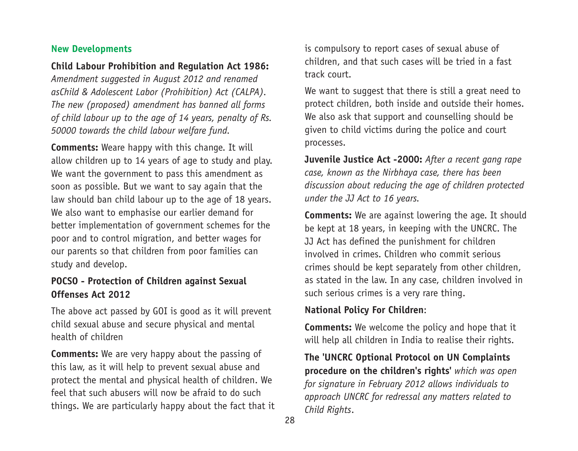### **New Developments**

### **Child Labour Prohibition and Regulation Act 1986:**

*Amendment suggested in August 2012 and renamed asChild & Adolescent Labor (Prohibition) Act (CALPA). The new (proposed) amendment has banned all forms of child labour up to the age of 14 years, penalty of Rs. 50000 towards the child labour welfare fund.* 

**Comments:** Weare happy with this change. It will allow children up to 14 years of age to study and play. We want the government to pass this amendment as soon as possible. But we want to say again that the law should ban child labour up to the age of 18 years. We also want to emphasise our earlier demand for better implementation of government schemes for the poor and to control migration, and better wages for our parents so that children from poor families can study and develop.

## **POCSO - Protection of Children against Sexual Offenses Act 2012**

The above act passed by GOI is good as it will prevent child sexual abuse and secure physical and mental health of children

**Comments:** We are very happy about the passing of this law, as it will help to prevent sexual abuse and protect the mental and physical health of children. We feel that such abusers will now be afraid to do such things. We are particularly happy about the fact that it is compulsory to report cases of sexual abuse of children, and that such cases will be tried in a fast track court.

We want to suggest that there is still a great need to protect children, both inside and outside their homes. We also ask that support and counselling should be given to child victims during the police and court processes.

**Juvenile Justice Act -2000:** *After a recent gang rape case, known as the Nirbhaya case, there has been discussion about reducing the age of children protected under the JJ Act to 16 years.* 

**Comments:** We are against lowering the age. It should be kept at 18 years, in keeping with the UNCRC. The JJ Act has defined the punishment for children involved in crimes. Children who commit serious crimes should be kept separately from other children, as stated in the law. In any case, children involved in such serious crimes is a very rare thing.

### **National Policy For Children**:

**Comments:** We welcome the policy and hope that it will help all children in India to realise their rights.

**The 'UNCRC Optional Protocol on UN Complaints procedure on the children's rights'** *which was open for signature in February 2012 allows individuals to approach UNCRC for redressal any matters related to Child Rights*.